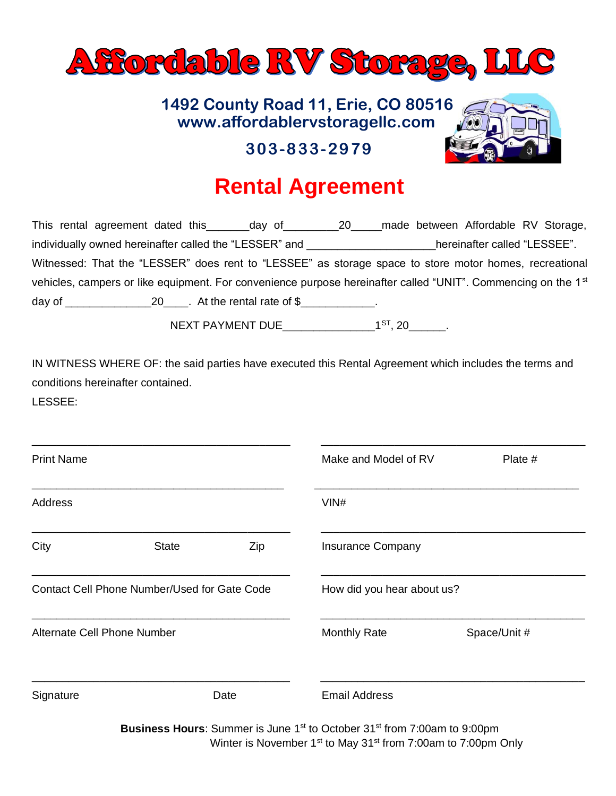

## **www.affordablervstoragellc.com 1492 County Road 11, Erie, CO 80516**



## **303-833-2979**

## **Rental Agreement**

| This rental agreement dated this ________ day of ________________20________                                               | made between Affordable RV Storage, |
|---------------------------------------------------------------------------------------------------------------------------|-------------------------------------|
| individually owned hereinafter called the "LESSER" and                                                                    | hereinafter called "LESSEE".        |
| Witnessed: That the "LESSER" does rent to "LESSEE" as storage space to store motor homes, recreational                    |                                     |
| vehicles, campers or like equipment. For convenience purpose hereinafter called "UNIT". Commencing on the 1 <sup>st</sup> |                                     |
| day of $\frac{20}{100}$ . At the rental rate of \$                                                                        |                                     |
|                                                                                                                           |                                     |

NEXT PAYMENT DUE\_\_\_\_\_\_\_\_\_\_\_\_\_\_\_1ST, 20\_\_\_\_\_\_.

IN WITNESS WHERE OF: the said parties have executed this Rental Agreement which includes the terms and conditions hereinafter contained.

LESSEE:

| <b>Print Name</b>                                   |              | Make and Model of RV       | Plate #                                                                                          |              |  |
|-----------------------------------------------------|--------------|----------------------------|--------------------------------------------------------------------------------------------------|--------------|--|
| Address                                             |              |                            | VIN#                                                                                             |              |  |
| City                                                | <b>State</b> | Zip                        | <b>Insurance Company</b>                                                                         |              |  |
| <b>Contact Cell Phone Number/Used for Gate Code</b> |              | How did you hear about us? |                                                                                                  |              |  |
| Alternate Cell Phone Number                         |              |                            | <b>Monthly Rate</b>                                                                              | Space/Unit # |  |
| Signature                                           |              | Date                       | <b>Email Address</b>                                                                             |              |  |
|                                                     |              |                            | Business Hours: Summer is June 1 <sup>st</sup> to October 31 <sup>st</sup> from 7:00am to 9:00pm |              |  |

Winter is November 1<sup>st</sup> to May 31<sup>st</sup> from 7:00am to 7:00pm Only